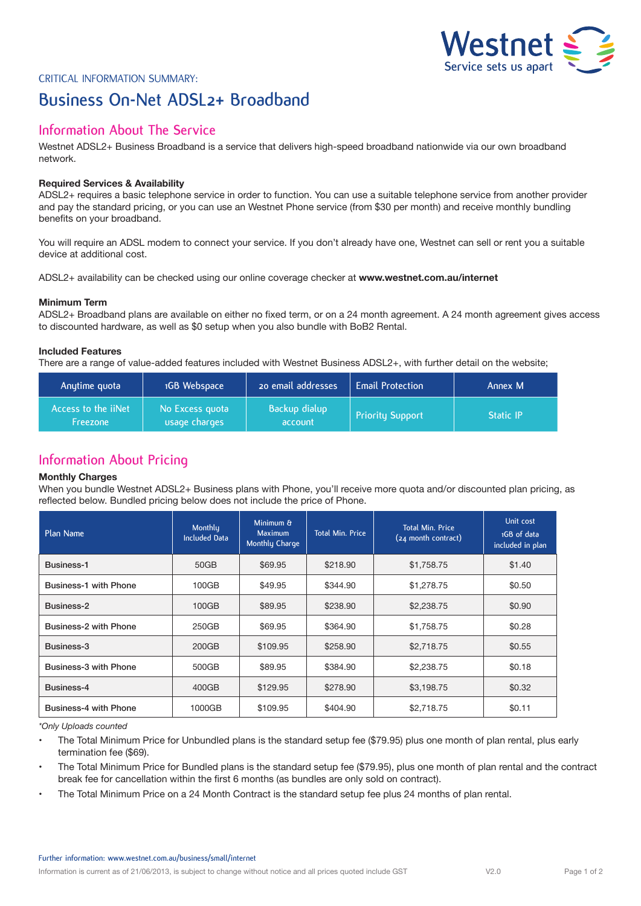

# Critical Information Summary: **Business On-Net ADSL2+ Broadband**

## **Information About The Service**

Westnet ADSL2+ Business Broadband is a service that delivers high-speed broadband nationwide via our own broadband network.

## **Required Services & Availability**

ADSL2+ requires a basic telephone service in order to function. You can use a suitable telephone service from another provider and pay the standard pricing, or you can use an Westnet Phone service (from \$30 per month) and receive monthly bundling benefits on your broadband.

You will require an ADSL modem to connect your service. If you don't already have one, Westnet can sell or rent you a suitable device at additional cost.

ADSL2+ availability can be checked using our online coverage checker at **www.westnet.com.au/internet**

### **Minimum Term**

ADSL2+ Broadband plans are available on either no fixed term, or on a 24 month agreement. A 24 month agreement gives access to discounted hardware, as well as \$0 setup when you also bundle with BoB2 Rental.

## **Included Features**

There are a range of value-added features included with Westnet Business ADSL2+, with further detail on the website;

| Anytime quota                                 | 1GB Webspace                     | 20 email addresses       | <b>Email Protection</b> | Annex M          |
|-----------------------------------------------|----------------------------------|--------------------------|-------------------------|------------------|
| Access to the <i>iiNet</i><br><b>Freezone</b> | No Excess quota<br>usage charges | Backup dialup<br>account | <b>Priority Support</b> | <b>Static IP</b> |

## **Information About Pricing**

#### **Monthly Charges**

When you bundle Westnet ADSL2+ Business plans with Phone, you'll receive more quota and/or discounted plan pricing, as reflected below. Bundled pricing below does not include the price of Phone.

| Plan Name                    | Monthly<br><b>Included Data</b> | Minimum &<br>Maximum<br>Monthly Charge | <b>Total Min. Price</b> | <b>Total Min. Price</b><br>(24 month contract) | Unit cost<br>1GB of data<br>included in plan |
|------------------------------|---------------------------------|----------------------------------------|-------------------------|------------------------------------------------|----------------------------------------------|
| Business-1                   | 50GB                            | \$69.95                                | \$218.90                | \$1,758.75                                     | \$1.40                                       |
| <b>Business-1 with Phone</b> | 100GB                           | \$49.95                                | \$344.90                | \$1,278.75                                     | \$0.50                                       |
| Business-2                   | 100GB                           | \$89.95                                | \$238.90                | \$2,238.75                                     | \$0.90                                       |
| Business-2 with Phone        | 250GB                           | \$69.95                                | \$364.90                | \$1,758.75                                     | \$0.28                                       |
| Business-3                   | 200GB                           | \$109.95                               | \$258.90                | \$2,718.75                                     | \$0.55                                       |
| Business-3 with Phone        | 500GB                           | \$89.95                                | \$384.90                | \$2,238.75                                     | \$0.18                                       |
| Business-4                   | 400GB                           | \$129.95                               | \$278.90                | \$3,198.75                                     | \$0.32                                       |
| Business-4 with Phone        | 1000GB                          | \$109.95                               | \$404.90                | \$2,718.75                                     | \$0.11                                       |

*\*Only Uploads counted*

• The Total Minimum Price for Unbundled plans is the standard setup fee (\$79.95) plus one month of plan rental, plus early termination fee (\$69).

• The Total Minimum Price for Bundled plans is the standard setup fee (\$79.95), plus one month of plan rental and the contract break fee for cancellation within the first 6 months (as bundles are only sold on contract).

• The Total Minimum Price on a 24 Month Contract is the standard setup fee plus 24 months of plan rental.